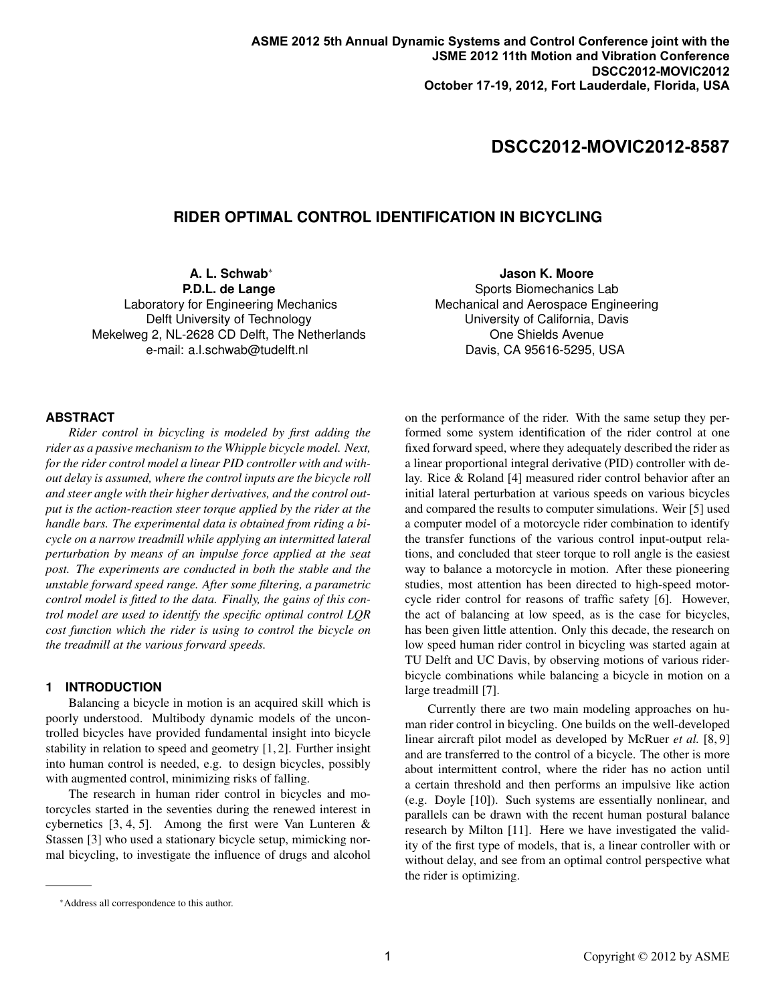# **DSCC2012-MOVIC2012-8587**

## **RIDER OPTIMAL CONTROL IDENTIFICATION IN BICYCLING**

**A. L. Schwab**<sup>∗</sup> **P.D.L. de Lange**

Laboratory for Engineering Mechanics Delft University of Technology Mekelweg 2, NL-2628 CD Delft, The Netherlands e-mail: a.l.schwab@tudelft.nl

**Jason K. Moore** Sports Biomechanics Lab Mechanical and Aerospace Engineering University of California, Davis One Shields Avenue Davis, CA 95616-5295, USA

### **ABSTRACT**

*Rider control in bicycling is modeled by first adding the rider as a passive mechanism to the Whipple bicycle model. Next, for the rider control model a linear PID controller with and without delay is assumed, where the control inputs are the bicycle roll and steer angle with their higher derivatives, and the control output is the action-reaction steer torque applied by the rider at the handle bars. The experimental data is obtained from riding a bicycle on a narrow treadmill while applying an intermitted lateral perturbation by means of an impulse force applied at the seat post. The experiments are conducted in both the stable and the unstable forward speed range. After some filtering, a parametric control model is fitted to the data. Finally, the gains of this control model are used to identify the specific optimal control LQR cost function which the rider is using to control the bicycle on the treadmill at the various forward speeds.*

#### **1 INTRODUCTION**

Balancing a bicycle in motion is an acquired skill which is poorly understood. Multibody dynamic models of the uncontrolled bicycles have provided fundamental insight into bicycle stability in relation to speed and geometry [1, 2]. Further insight into human control is needed, e.g. to design bicycles, possibly with augmented control, minimizing risks of falling.

The research in human rider control in bicycles and motorcycles started in the seventies during the renewed interest in cybernetics  $[3, 4, 5]$ . Among the first were Van Lunteren & Stassen [3] who used a stationary bicycle setup, mimicking normal bicycling, to investigate the influence of drugs and alcohol

on the performance of the rider. With the same setup they performed some system identification of the rider control at one fixed forward speed, where they adequately described the rider as a linear proportional integral derivative (PID) controller with delay. Rice & Roland [4] measured rider control behavior after an initial lateral perturbation at various speeds on various bicycles and compared the results to computer simulations. Weir [5] used a computer model of a motorcycle rider combination to identify the transfer functions of the various control input-output relations, and concluded that steer torque to roll angle is the easiest way to balance a motorcycle in motion. After these pioneering studies, most attention has been directed to high-speed motorcycle rider control for reasons of traffic safety [6]. However, the act of balancing at low speed, as is the case for bicycles, has been given little attention. Only this decade, the research on low speed human rider control in bicycling was started again at TU Delft and UC Davis, by observing motions of various riderbicycle combinations while balancing a bicycle in motion on a large treadmill [7].

Currently there are two main modeling approaches on human rider control in bicycling. One builds on the well-developed linear aircraft pilot model as developed by McRuer *et al.* [8, 9] and are transferred to the control of a bicycle. The other is more about intermittent control, where the rider has no action until a certain threshold and then performs an impulsive like action (e.g. Doyle [10]). Such systems are essentially nonlinear, and parallels can be drawn with the recent human postural balance research by Milton [11]. Here we have investigated the validity of the first type of models, that is, a linear controller with or without delay, and see from an optimal control perspective what the rider is optimizing.

<sup>∗</sup>Address all correspondence to this author.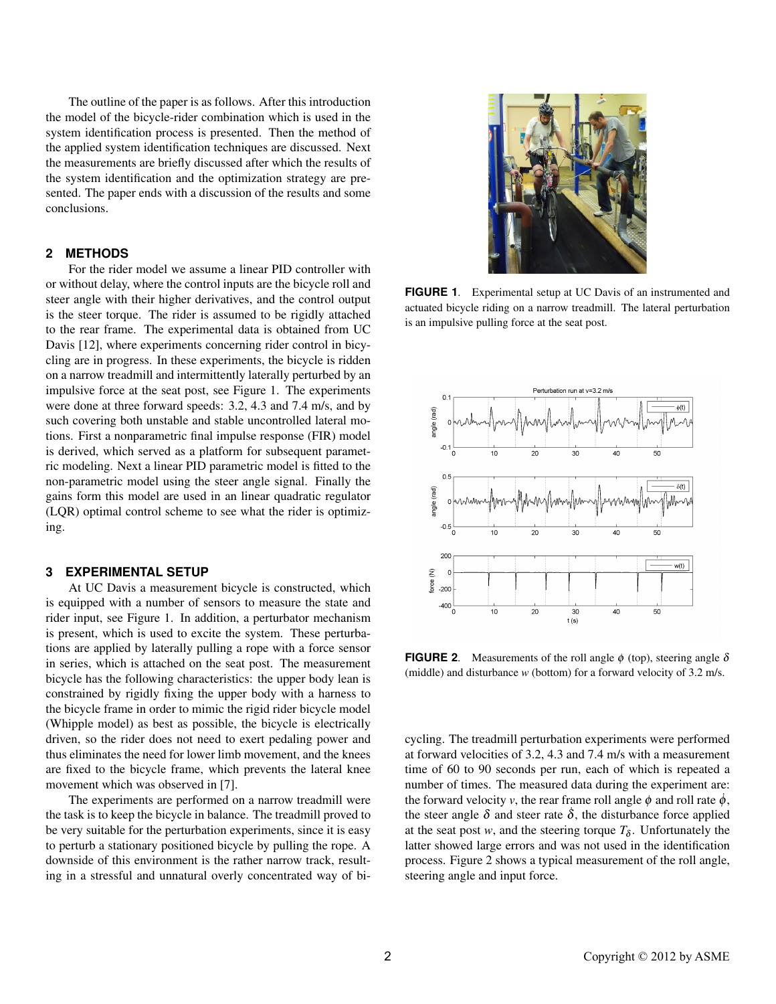The outline of the paper is as follows. After this introduction the model of the bicycle-rider combination which is used in the system identification process is presented. Then the method of the applied system identification techniques are discussed. Next the measurements are briefly discussed after which the results of the system identification and the optimization strategy are presented. The paper ends with a discussion of the results and some conclusions.

#### 2 METHODS

For the rider model we assume a linear PID controller with or without delay, where the control inputs are the bicycle roll and steer angle with their higher derivatives, and the control output is the steer torque. The rider is assumed to be rigidly attached to the rear frame. The experimental data is obtained from UC Davis [12], where experiments concerning rider control in bicycling are in progress. In these experiments, the bicycle is ridden on a narrow treadmill and intermittently laterally perturbed by an impulsive force at the seat post, see Figure 1. The experiments were done at three forward speeds: 3.2, 4.3 and 7.4 m/s, and by such covering both unstable and stable uncontrolled lateral motions. First a nonparametric final impulse response (FIR) model is derived, which served as a platform for subsequent parametric modeling. Next a linear PID parametric model is fitted to the non-parametric model using the steer angle signal. Finally the gains form this model are used in an linear quadratic regulator (LQR) optimal control scheme to see what the rider is optimizing.

#### **EXPERIMENTAL SETUP**  $\mathbf{3}$

At UC Davis a measurement bicycle is constructed, which is equipped with a number of sensors to measure the state and rider input, see Figure 1. In addition, a perturbator mechanism is present, which is used to excite the system. These perturbations are applied by laterally pulling a rope with a force sensor in series, which is attached on the seat post. The measurement bicycle has the following characteristics: the upper body lean is constrained by rigidly fixing the upper body with a harness to the bicycle frame in order to mimic the rigid rider bicycle model (Whipple model) as best as possible, the bicycle is electrically driven, so the rider does not need to exert pedaling power and thus eliminates the need for lower limb movement, and the knees are fixed to the bicycle frame, which prevents the lateral knee movement which was observed in [7].

The experiments are performed on a narrow treadmill were the task is to keep the bicycle in balance. The treadmill proved to be very suitable for the perturbation experiments, since it is easy to perturb a stationary positioned bicycle by pulling the rope. A downside of this environment is the rather narrow track, resulting in a stressful and unnatural overly concentrated way of bi-



FIGURE 1. Experimental setup at UC Davis of an instrumented and actuated bicycle riding on a narrow treadmill. The lateral perturbation is an impulsive pulling force at the seat post.



**FIGURE 2.** Measurements of the roll angle  $\phi$  (top), steering angle  $\delta$ (middle) and disturbance  $w$  (bottom) for a forward velocity of 3.2 m/s.

cycling. The treadmill perturbation experiments were performed at forward velocities of 3.2, 4.3 and 7.4 m/s with a measurement time of 60 to 90 seconds per run, each of which is repeated a number of times. The measured data during the experiment are: the forward velocity v, the rear frame roll angle  $\phi$  and roll rate  $\dot{\phi}$ , the steer angle  $\delta$  and steer rate  $\delta$ , the disturbance force applied at the seat post w, and the steering torque  $T_{\delta}$ . Unfortunately the latter showed large errors and was not used in the identification process. Figure 2 shows a typical measurement of the roll angle, steering angle and input force.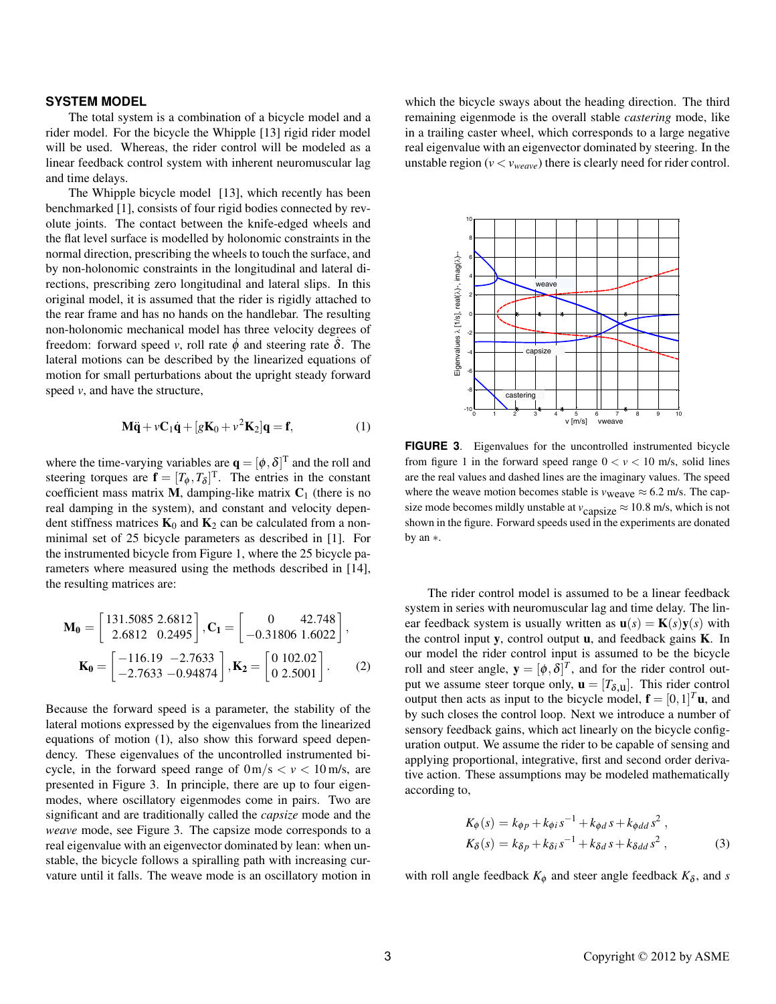#### **SYSTEM MODEL**

The total system is a combination of a bicycle model and a rider model. For the bicycle the Whipple [13] rigid rider model will be used. Whereas, the rider control will be modeled as a linear feedback control system with inherent neuromuscular lag and time delays.

The Whipple bicycle model [13], which recently has been benchmarked [1], consists of four rigid bodies connected by revolute joints. The contact between the knife-edged wheels and the flat level surface is modelled by holonomic constraints in the normal direction, prescribing the wheels to touch the surface, and by non-holonomic constraints in the longitudinal and lateral directions, prescribing zero longitudinal and lateral slips. In this original model, it is assumed that the rider is rigidly attached to the rear frame and has no hands on the handlebar. The resulting non-holonomic mechanical model has three velocity degrees of freedom: forward speed v, roll rate  $\dot{\phi}$  and steering rate  $\delta$ . The lateral motions can be described by the linearized equations of motion for small perturbations about the upright steady forward speed  $v$ , and have the structure,

$$
\mathbf{M}\ddot{\mathbf{q}} + v\mathbf{C}_1\dot{\mathbf{q}} + [g\mathbf{K}_0 + v^2\mathbf{K}_2]\mathbf{q} = \mathbf{f},\tag{1}
$$

where the time-varying variables are  $\mathbf{q} = [\phi, \delta]^T$  and the roll and steering torques are  $\mathbf{f} = [T_{\phi}, T_{\delta}]^{\mathrm{T}}$ . The entries in the constant coefficient mass matrix  $M$ , damping-like matrix  $C_1$  (there is no real damping in the system), and constant and velocity dependent stiffness matrices  $K_0$  and  $K_2$  can be calculated from a nonminimal set of 25 bicycle parameters as described in [1]. For the instrumented bicycle from Figure 1, where the 25 bicycle parameters where measured using the methods described in [14]. the resulting matrices are:

$$
\mathbf{M_0} = \begin{bmatrix} 131.5085 \ 2.6812 \ 2.6812 \ 0.2495 \end{bmatrix}, \mathbf{C_1} = \begin{bmatrix} 0 & 42.748 \\ -0.31806 \ 1.6022 \end{bmatrix}, \n\mathbf{K_0} = \begin{bmatrix} -116.19 & -2.7633 \\ -2.7633 & -0.94874 \end{bmatrix}, \mathbf{K_2} = \begin{bmatrix} 0 & 102.02 \\ 0 & 2.5001 \end{bmatrix}. \tag{2}
$$

Because the forward speed is a parameter, the stability of the lateral motions expressed by the eigenvalues from the linearized equations of motion (1), also show this forward speed dependency. These eigenvalues of the uncontrolled instrumented bicycle, in the forward speed range of  $0 \text{ m/s} < v < 10 \text{ m/s}$ , are presented in Figure 3. In principle, there are up to four eigenmodes, where oscillatory eigenmodes come in pairs. Two are significant and are traditionally called the *capsize* mode and the weave mode, see Figure 3. The capsize mode corresponds to a real eigenvalue with an eigenvector dominated by lean: when unstable, the bicycle follows a spiralling path with increasing curvature until it falls. The weave mode is an oscillatory motion in

which the bicycle sways about the heading direction. The third remaining eigenmode is the overall stable *castering* mode, like in a trailing caster wheel, which corresponds to a large negative real eigenvalue with an eigenvector dominated by steering. In the unstable region ( $v < v_{\text{weave}}$ ) there is clearly need for rider control.



FIGURE 3. Eigenvalues for the uncontrolled instrumented bicycle from figure 1 in the forward speed range  $0 < v < 10$  m/s, solid lines are the real values and dashed lines are the imaginary values. The speed where the weave motion becomes stable is  $v_{\text{weave}} \approx 6.2 \text{ m/s}$ . The capsize mode becomes mildly unstable at  $v_{\text{capsize}} \approx 10.8 \text{ m/s}$ , which is not shown in the figure. Forward speeds used in the experiments are donated by an  $*$ .

The rider control model is assumed to be a linear feedback system in series with neuromuscular lag and time delay. The linear feedback system is usually written as  $\mathbf{u}(s) = \mathbf{K}(s)\mathbf{y}(s)$  with the control input  $y$ , control output  $u$ , and feedback gains  $K$ . In our model the rider control input is assumed to be the bicycle roll and steer angle,  $\mathbf{y} = [\phi, \delta]^T$ , and for the rider control output we assume steer torque only,  $\mathbf{u} = [T_{\delta,\mathbf{u}}]$ . This rider control output then acts as input to the bicycle model,  $\mathbf{f} = [0, 1]^T \mathbf{u}$ , and by such closes the control loop. Next we introduce a number of sensory feedback gains, which act linearly on the bicycle configuration output. We assume the rider to be capable of sensing and applying proportional, integrative, first and second order derivative action. These assumptions may be modeled mathematically according to,

$$
K_{\phi}(s) = k_{\phi p} + k_{\phi i} s^{-1} + k_{\phi d} s + k_{\phi d d} s^{2} ,
$$
  
\n
$$
K_{\delta}(s) = k_{\delta p} + k_{\delta i} s^{-1} + k_{\delta d} s + k_{\delta d d} s^{2} ,
$$
\n(3)

with roll angle feedback  $K_{\phi}$  and steer angle feedback  $K_{\delta}$ , and s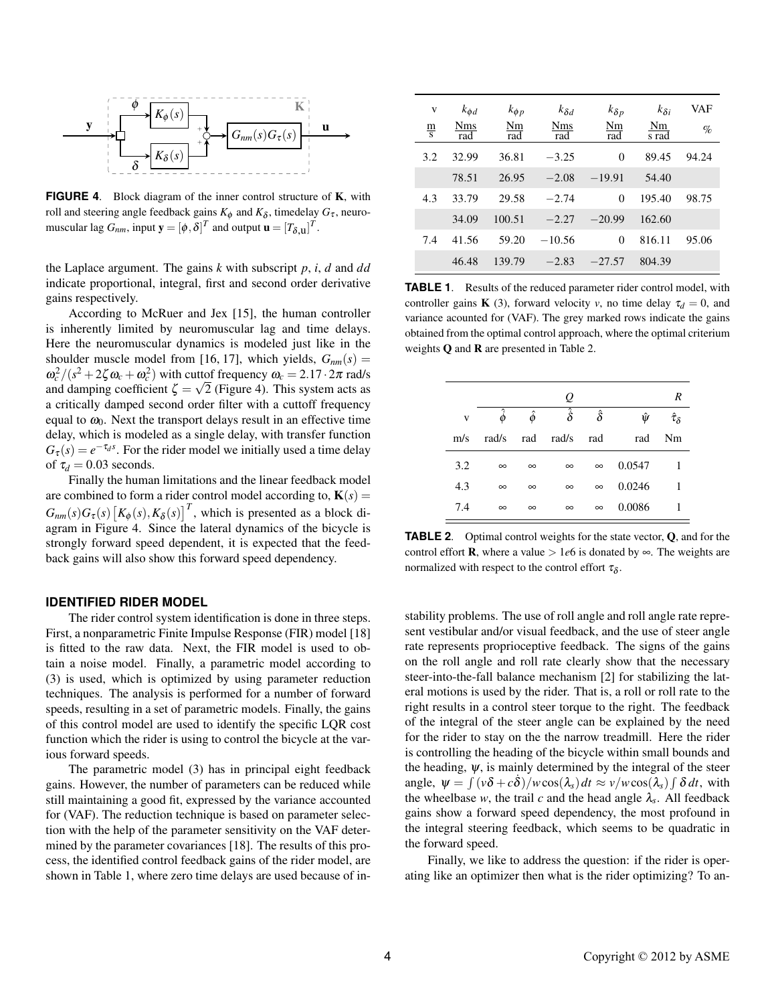

**FIGURE 4.** Block diagram of the inner control structure of **K**, with roll and steering angle feedback gains  $K_{\phi}$  and  $K_{\delta}$ , timedelay  $G_{\tau}$ , neuromuscular lag  $G_{nm}$ , input  $\mathbf{y} = [\phi, \delta]^T$  and output  $\mathbf{u} = [T_{\delta, \mathbf{u}}]^T$ .

the Laplace argument. The gains  $k$  with subscript  $p$ ,  $i$ ,  $d$  and  $dd$ indicate proportional, integral, first and second order derivative gains respectively.

According to McRuer and Jex [15], the human controller is inherently limited by neuromuscular lag and time delays. Here the neuromuscular dynamics is modeled just like in the shoulder muscle model from [16, 17], which yields,  $G_{nm}(s)$  =  $\omega_c^2/(s^2 + 2\zeta \omega_c + \omega_c^2)$  with cuttof frequency  $\omega_c = 2.17 \cdot 2\pi$  rad/s and damping coefficient  $\zeta = \sqrt{2}$  (Figure 4). This system acts as a critically damped second order filter with a cuttoff frequency equal to  $\omega_0$ . Next the transport delays result in an effective time delay, which is modeled as a single delay, with transfer function  $G_{\tau}(s) = e^{-\tau_d s}$ . For the rider model we initially used a time delay of  $\tau_d = 0.03$  seconds.

Finally the human limitations and the linear feedback model are combined to form a rider control model according to,  $\mathbf{K}(s)$  =  $G_{nm}(s)G_{\tau}(s)[K_{\phi}(s), K_{\delta}(s)]^{T}$ , which is presented as a block diagram in Figure 4. Since the lateral dynamics of the bicycle is strongly forward speed dependent, it is expected that the feedback gains will also show this forward speed dependency.

#### **IDENTIFIED RIDER MODEL**

The rider control system identification is done in three steps. First, a nonparametric Finite Impulse Response (FIR) model [18] is fitted to the raw data. Next, the FIR model is used to obtain a noise model. Finally, a parametric model according to (3) is used, which is optimized by using parameter reduction techniques. The analysis is performed for a number of forward speeds, resulting in a set of parametric models. Finally, the gains of this control model are used to identify the specific LQR cost function which the rider is using to control the bicycle at the varjous forward speeds.

The parametric model (3) has in principal eight feedback gains. However, the number of parameters can be reduced while still maintaining a good fit, expressed by the variance accounted for (VAF). The reduction technique is based on parameter selection with the help of the parameter sensitivity on the VAF determined by the parameter covariances [18]. The results of this process, the identified control feedback gains of the rider model, are shown in Table 1, where zero time delays are used because of in-

| V             | $k_{\phi d}$      | $k_{\phi p}$ | $k_{\delta d}$ | $k_{\delta p}$ | $k_{\delta i}$ | VAF   |
|---------------|-------------------|--------------|----------------|----------------|----------------|-------|
| $\frac{m}{s}$ | <b>Nms</b><br>rad | Nm<br>rad    | Nms<br>rad     | Nm<br>rad      | Nm<br>s rad    | $\%$  |
| 3.2           | 32.99             | 36.81        | $-3.25$        | $\theta$       | 89.45          | 94.24 |
|               | 78.51             | 26.95        | $-2.08$        | $-19.91$       | 54.40          |       |
| 4.3           | 33.79             | 29.58        | $-2.74$        | $\theta$       | 195.40         | 98.75 |
|               | 34.09             | 100.51       | $-2.27$        | $-20.99$       | 162.60         |       |
| 7.4           | 41.56             | 59.20        | $-10.56$       | $\theta$       | 816.11         | 95.06 |
|               | 46.48             | 139.79       | $-2.83$        | $-27.57$       | 804.39         |       |

**TABLE 1.** Results of the reduced parameter rider control model, with controller gains **K** (3), forward velocity v, no time delay  $\tau_d = 0$ , and variance acounted for (VAF). The grey marked rows indicate the gains obtained from the optimal control approach, where the optimal criterium weights  $O$  and  $R$  are presented in Table 2.

|     |   |          |          | $\varrho$            |                |        | R                     |
|-----|---|----------|----------|----------------------|----------------|--------|-----------------------|
|     | V |          | ô        | $\hat{\dot{\delta}}$ | $\hat{\delta}$ | ŵ      | $\hat{\tau}_{\delta}$ |
| m/s |   | rad/s    | rad      | rad/s                | rad            | rad    | Nm                    |
| 3.2 |   | $\infty$ | $\infty$ | $\infty$             | $\infty$       | 0.0547 |                       |
| 4.3 |   | $\infty$ | $\infty$ | $\infty$             | $\infty$       | 0.0246 |                       |
| 7.4 |   | $\infty$ | $\infty$ | $\infty$             | $\infty$       | 0.0086 |                       |

**TABLE 2.** Optimal control weights for the state vector, Q, and for the control effort **R**, where a value > 1e6 is donated by  $\infty$ . The weights are normalized with respect to the control effort  $\tau_{\delta}$ .

stability problems. The use of roll angle and roll angle rate represent vestibular and/or visual feedback, and the use of steer angle rate represents proprioceptive feedback. The signs of the gains on the roll angle and roll rate clearly show that the necessary steer-into-the-fall balance mechanism [2] for stabilizing the lateral motions is used by the rider. That is, a roll or roll rate to the right results in a control steer torque to the right. The feedback of the integral of the steer angle can be explained by the need for the rider to stay on the the narrow treadmill. Here the rider is controlling the heading of the bicycle within small bounds and the heading,  $\psi$ , is mainly determined by the integral of the steer angle,  $\psi = \int (v \delta + c \delta) / w \cos(\lambda_s) dt \approx v / w \cos(\lambda_s) \int \delta dt$ , with the wheelbase w, the trail c and the head angle  $\lambda_s$ . All feedback gains show a forward speed dependency, the most profound in the integral steering feedback, which seems to be quadratic in the forward speed.

Finally, we like to address the question: if the rider is operating like an optimizer then what is the rider optimizing? To an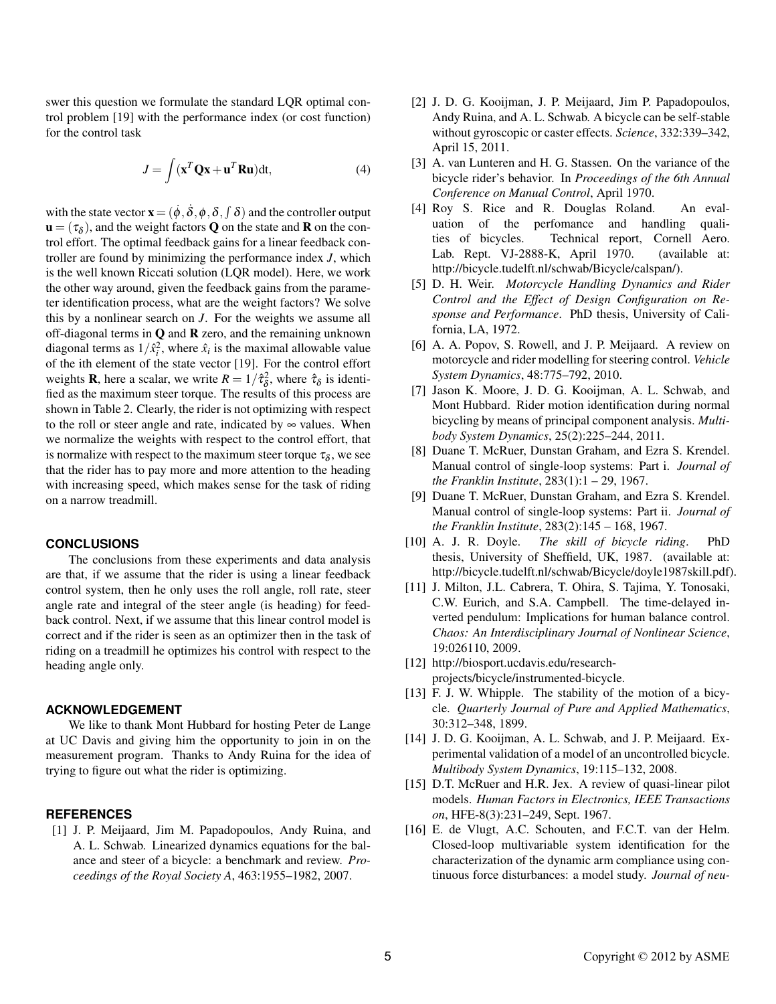swer this question we formulate the standard LQR optimal control problem [19] with the performance index (or cost function) for the control task

$$
J = \int (\mathbf{x}^T \mathbf{Q} \mathbf{x} + \mathbf{u}^T \mathbf{R} \mathbf{u}) \mathrm{d}t,
$$
 (4)

with the state vector  $\mathbf{x} = (\dot{\phi}, \dot{\delta}, \phi, \delta, \phi)$  and the controller output  $\mathbf{u} = (\tau_{\delta})$ , and the weight factors Q on the state and **R** on the control effort. The optimal feedback gains for a linear feedback controller are found by minimizing the performance index  $J$ , which is the well known Riccati solution (LQR model). Here, we work the other way around, given the feedback gains from the parameter identification process, what are the weight factors? We solve this by a nonlinear search on  $J$ . For the weights we assume all off-diagonal terms in  $Q$  and  $R$  zero, and the remaining unknown diagonal terms as  $1/\hat{x}_i^2$ , where  $\hat{x}_i$  is the maximal allowable value of the ith element of the state vector [19]. For the control effort weights **R**, here a scalar, we write  $R = 1/\hat{\tau}_{\delta}^2$ , where  $\hat{\tau}_{\delta}$  is identified as the maximum steer torque. The results of this process are shown in Table 2. Clearly, the rider is not optimizing with respect to the roll or steer angle and rate, indicated by  $\infty$  values. When we normalize the weights with respect to the control effort, that is normalize with respect to the maximum steer torque  $\tau_s$ , we see that the rider has to pay more and more attention to the heading with increasing speed, which makes sense for the task of riding on a narrow treadmill.

### **CONCLUSIONS**

The conclusions from these experiments and data analysis are that, if we assume that the rider is using a linear feedback control system, then he only uses the roll angle, roll rate, steer angle rate and integral of the steer angle (is heading) for feedback control. Next, if we assume that this linear control model is correct and if the rider is seen as an optimizer then in the task of riding on a treadmill he optimizes his control with respect to the heading angle only.

#### **ACKNOWLEDGEMENT**

We like to thank Mont Hubbard for hosting Peter de Lange at UC Davis and giving him the opportunity to join in on the measurement program. Thanks to Andy Ruina for the idea of trying to figure out what the rider is optimizing.

### **REFERENCES**

[1] J. P. Meijaard, Jim M. Papadopoulos, Andy Ruina, and A. L. Schwab. Linearized dynamics equations for the balance and steer of a bicycle: a benchmark and review. Proceedings of the Royal Society A, 463:1955-1982, 2007.

- [2] J. D. G. Kooijman, J. P. Meijaard, Jim P. Papadopoulos, Andy Ruina, and A. L. Schwab. A bicycle can be self-stable without gyroscopic or caster effects. Science, 332:339-342, April 15, 2011.
- [3] A. van Lunteren and H. G. Stassen. On the variance of the bicycle rider's behavior. In Proceedings of the 6th Annual Conference on Manual Control, April 1970.
- [4] Roy S. Rice and R. Douglas Roland. An evaland handling qualiuation of the perfomance ties of bicycles. Technical report, Cornell Aero. Lab. Rept. VJ-2888-K, April 1970. (available at: http://bicycle.tudelft.nl/schwab/Bicycle/calspan/).
- [5] D. H. Weir. Motorcycle Handling Dynamics and Rider Control and the Effect of Design Configuration on Response and Performance. PhD thesis, University of California, LA, 1972.
- [6] A. A. Popov, S. Rowell, and J. P. Meijaard. A review on motorcycle and rider modelling for steering control. Vehicle System Dynamics, 48:775-792, 2010.
- [7] Jason K. Moore, J. D. G. Kooijman, A. L. Schwab, and Mont Hubbard. Rider motion identification during normal bicycling by means of principal component analysis. Multibody System Dynamics, 25(2):225-244, 2011.
- [8] Duane T. McRuer, Dunstan Graham, and Ezra S. Krendel. Manual control of single-loop systems: Part i. Journal of the Franklin Institute,  $283(1):1 - 29$ , 1967.
- [9] Duane T. McRuer, Dunstan Graham, and Ezra S. Krendel. Manual control of single-loop systems: Part ii. *Journal of* the Franklin Institute,  $283(2):145 - 168$ , 1967.
- $[10]$  A. J. R. Doyle. The skill of bicycle riding. PhD thesis, University of Sheffield, UK, 1987. (available at: http://bicycle.tudelft.nl/schwab/Bicycle/doyle1987skill.pdf).
- [11] J. Milton, J.L. Cabrera, T. Ohira, S. Tajima, Y. Tonosaki, C.W. Eurich, and S.A. Campbell. The time-delayed inverted pendulum: Implications for human balance control. Chaos: An Interdisciplinary Journal of Nonlinear Science, 19:026110, 2009.
- [12] http://biosport.ucdavis.edu/researchprojects/bicycle/instrumented-bicycle.
- [13] F. J. W. Whipple. The stability of the motion of a bicycle. Quarterly Journal of Pure and Applied Mathematics, 30:312-348, 1899.
- [14] J. D. G. Kooijman, A. L. Schwab, and J. P. Meijaard. Experimental validation of a model of an uncontrolled bicycle. Multibody System Dynamics, 19:115-132, 2008.
- [15] D.T. McRuer and H.R. Jex. A review of quasi-linear pilot models. Human Factors in Electronics, IEEE Transactions on, HFE-8(3):231-249, Sept. 1967.
- [16] E. de Vlugt, A.C. Schouten, and F.C.T. van der Helm. Closed-loop multivariable system identification for the characterization of the dynamic arm compliance using continuous force disturbances: a model study. Journal of neu-